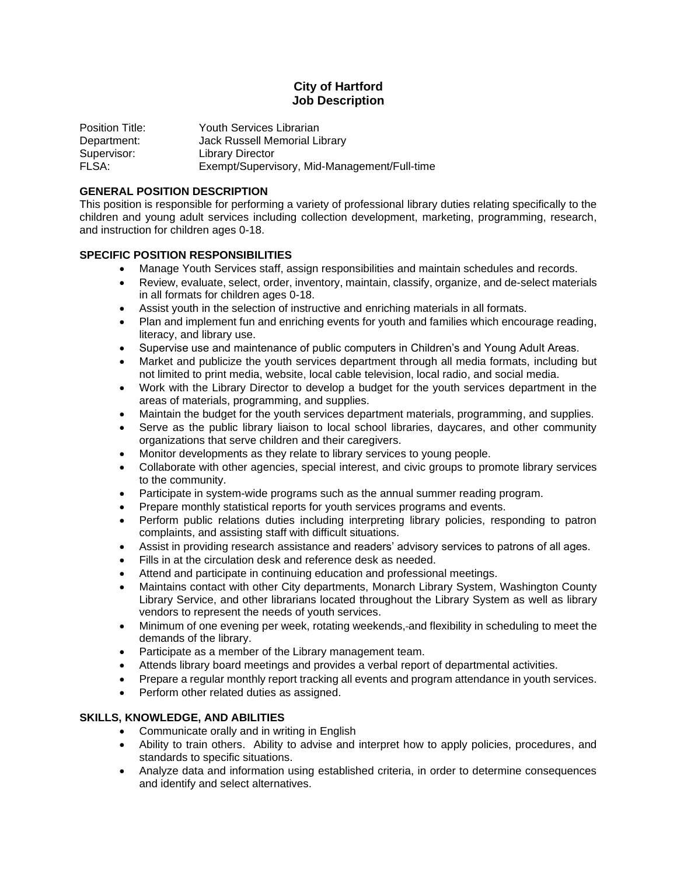# **City of Hartford Job Description**

Position Title: Youth Services Librarian Department: Jack Russell Memorial Library Supervisor: Library Director FLSA: Exempt/Supervisory, Mid-Management/Full-time

## **GENERAL POSITION DESCRIPTION**

This position is responsible for performing a variety of professional library duties relating specifically to the children and young adult services including collection development, marketing, programming, research, and instruction for children ages 0-18.

### **SPECIFIC POSITION RESPONSIBILITIES**

- Manage Youth Services staff, assign responsibilities and maintain schedules and records.
- Review, evaluate, select, order, inventory, maintain, classify, organize, and de-select materials in all formats for children ages 0-18.
- Assist youth in the selection of instructive and enriching materials in all formats.
- Plan and implement fun and enriching events for youth and families which encourage reading, literacy, and library use.
- Supervise use and maintenance of public computers in Children's and Young Adult Areas.
- Market and publicize the youth services department through all media formats, including but not limited to print media, website, local cable television, local radio, and social media.
- Work with the Library Director to develop a budget for the youth services department in the areas of materials, programming, and supplies.
- Maintain the budget for the youth services department materials, programming, and supplies.
- Serve as the public library liaison to local school libraries, daycares, and other community organizations that serve children and their caregivers.
- Monitor developments as they relate to library services to young people.
- Collaborate with other agencies, special interest, and civic groups to promote library services to the community.
- Participate in system-wide programs such as the annual summer reading program.
- Prepare monthly statistical reports for youth services programs and events.
- Perform public relations duties including interpreting library policies, responding to patron complaints, and assisting staff with difficult situations.
- Assist in providing research assistance and readers' advisory services to patrons of all ages.
- Fills in at the circulation desk and reference desk as needed.
- Attend and participate in continuing education and professional meetings.
- Maintains contact with other City departments, Monarch Library System, Washington County Library Service, and other librarians located throughout the Library System as well as library vendors to represent the needs of youth services.
- Minimum of one evening per week, rotating weekends, and flexibility in scheduling to meet the demands of the library.
- Participate as a member of the Library management team.
- Attends library board meetings and provides a verbal report of departmental activities.
- Prepare a regular monthly report tracking all events and program attendance in youth services.
- Perform other related duties as assigned.

## **SKILLS, KNOWLEDGE, AND ABILITIES**

- Communicate orally and in writing in English
- Ability to train others. Ability to advise and interpret how to apply policies, procedures, and standards to specific situations.
- Analyze data and information using established criteria, in order to determine consequences and identify and select alternatives.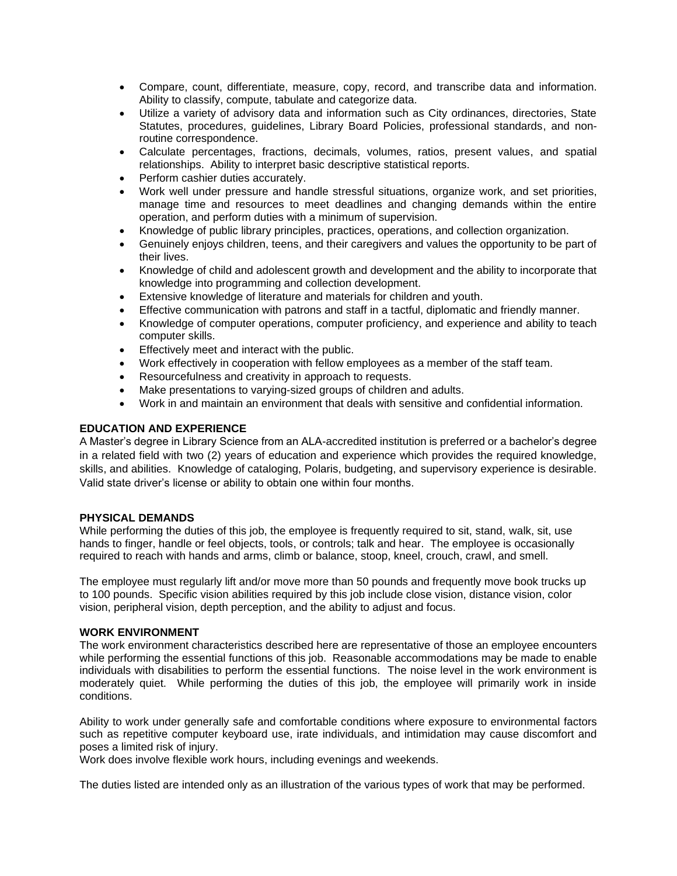- Compare, count, differentiate, measure, copy, record, and transcribe data and information. Ability to classify, compute, tabulate and categorize data.
- Utilize a variety of advisory data and information such as City ordinances, directories, State Statutes, procedures, guidelines, Library Board Policies, professional standards, and nonroutine correspondence.
- Calculate percentages, fractions, decimals, volumes, ratios, present values, and spatial relationships. Ability to interpret basic descriptive statistical reports.
- Perform cashier duties accurately.
- Work well under pressure and handle stressful situations, organize work, and set priorities, manage time and resources to meet deadlines and changing demands within the entire operation, and perform duties with a minimum of supervision.
- Knowledge of public library principles, practices, operations, and collection organization.
- Genuinely enjoys children, teens, and their caregivers and values the opportunity to be part of their lives.
- Knowledge of child and adolescent growth and development and the ability to incorporate that knowledge into programming and collection development.
- Extensive knowledge of literature and materials for children and youth.
- Effective communication with patrons and staff in a tactful, diplomatic and friendly manner.
- Knowledge of computer operations, computer proficiency, and experience and ability to teach computer skills.
- Effectively meet and interact with the public.
- Work effectively in cooperation with fellow employees as a member of the staff team.
- Resourcefulness and creativity in approach to requests.
- Make presentations to varying-sized groups of children and adults.
- Work in and maintain an environment that deals with sensitive and confidential information.

### **EDUCATION AND EXPERIENCE**

A Master's degree in Library Science from an ALA-accredited institution is preferred or a bachelor's degree in a related field with two (2) years of education and experience which provides the required knowledge, skills, and abilities. Knowledge of cataloging, Polaris, budgeting, and supervisory experience is desirable. Valid state driver's license or ability to obtain one within four months.

#### **PHYSICAL DEMANDS**

While performing the duties of this job, the employee is frequently required to sit, stand, walk, sit, use hands to finger, handle or feel objects, tools, or controls; talk and hear. The employee is occasionally required to reach with hands and arms, climb or balance, stoop, kneel, crouch, crawl, and smell.

The employee must regularly lift and/or move more than 50 pounds and frequently move book trucks up to 100 pounds. Specific vision abilities required by this job include close vision, distance vision, color vision, peripheral vision, depth perception, and the ability to adjust and focus.

### **WORK ENVIRONMENT**

The work environment characteristics described here are representative of those an employee encounters while performing the essential functions of this job. Reasonable accommodations may be made to enable individuals with disabilities to perform the essential functions. The noise level in the work environment is moderately quiet. While performing the duties of this job, the employee will primarily work in inside conditions.

Ability to work under generally safe and comfortable conditions where exposure to environmental factors such as repetitive computer keyboard use, irate individuals, and intimidation may cause discomfort and poses a limited risk of injury.

Work does involve flexible work hours, including evenings and weekends.

The duties listed are intended only as an illustration of the various types of work that may be performed.